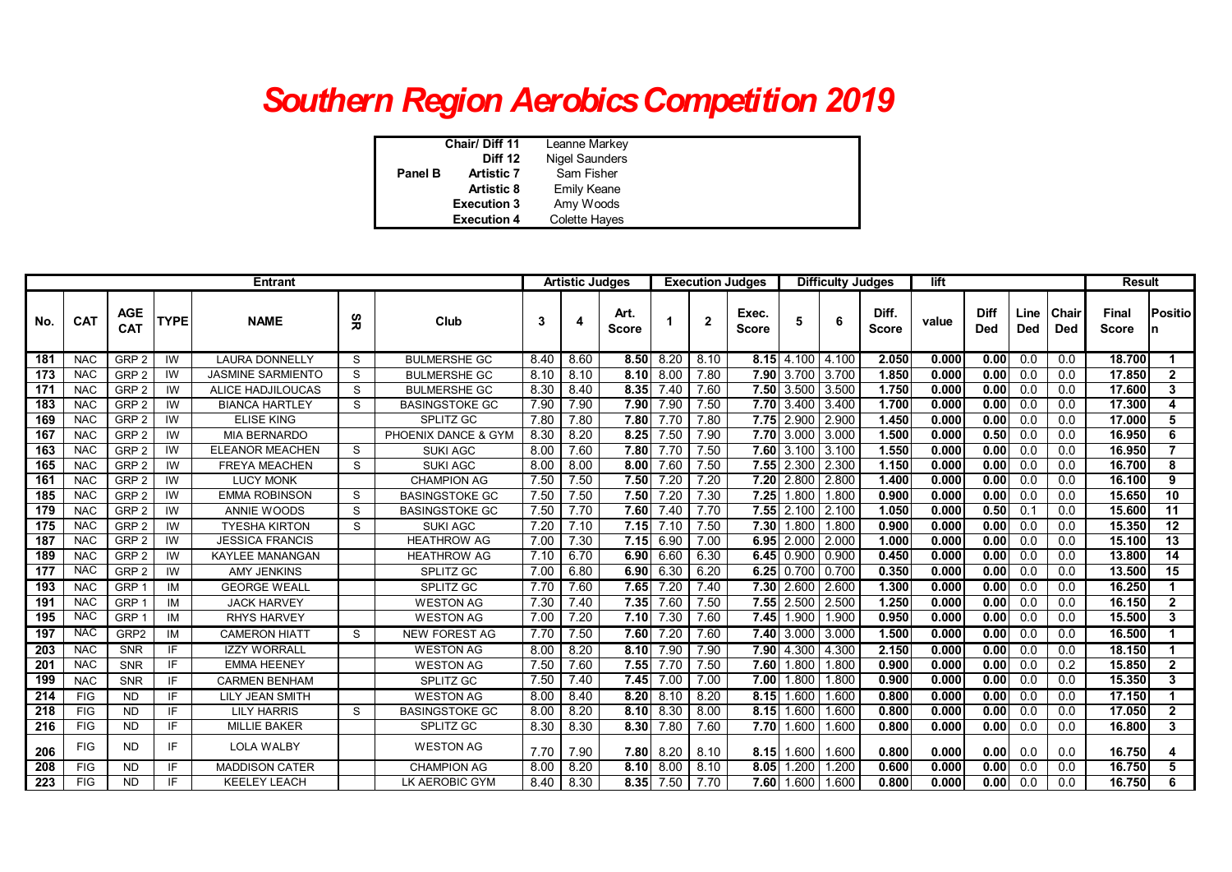## *Southern Region Aerobics Competition 2019*

|         | Chair/Diff 11      | Leanne Markey  |  |
|---------|--------------------|----------------|--|
| Diff 12 |                    | Nigel Saunders |  |
| Panel B | <b>Artistic 7</b>  | Sam Fisher     |  |
|         | <b>Artistic 8</b>  | Emily Keane    |  |
|         | <b>Execution 3</b> | Amy Woods      |  |
|         | <b>Execution 4</b> | Colette Hayes  |  |

| <b>Entrant</b> |            |                          |                |                          |    | <b>Artistic Judges</b> |      |      |                      |      | <b>Execution Judges</b> | <b>Difficulty Judges</b> |                  |       | lift                  |       |                    |                  | <b>Result</b>       |                              |                      |
|----------------|------------|--------------------------|----------------|--------------------------|----|------------------------|------|------|----------------------|------|-------------------------|--------------------------|------------------|-------|-----------------------|-------|--------------------|------------------|---------------------|------------------------------|----------------------|
| No.            | <b>CAT</b> | <b>AGE</b><br><b>CAT</b> | <b>TYPE</b>    | <b>NAME</b>              | Ξg | Club                   | 3    |      | Art.<br><b>Score</b> |      | $\overline{2}$          | Exec.<br><b>Score</b>    |                  | 6     | Diff.<br><b>Score</b> | value | Diff<br><b>Ded</b> | Line<br>Ded      | Chair<br><b>Ded</b> | <b>Final</b><br><b>Score</b> | <b>Positio</b>       |
| 181            | <b>NAC</b> | GRP <sub>2</sub>         | $\overline{W}$ | <b>LAURA DONNELLY</b>    | S  | <b>BULMERSHE GC</b>    | 8.40 | 8.60 | 8.50                 | 8.20 | 8.10                    | 8.15                     | 4.100            | 4.100 | 2.050                 | 0.000 | 0.00               | 0.0              | 0.0                 | 18.700                       | $\blacktriangleleft$ |
| 173            | <b>NAC</b> | GRP <sub>2</sub>         | IW             | <b>JASMINE SARMIENTO</b> | S  | <b>BULMERSHE GC</b>    | 8.10 | 8.10 | 8.10                 | 8.00 | 7.80                    |                          | 7.90 3.700       | 3.700 | 1.850                 | 0.000 | 0.00               | 0.0              | 0.0                 | 17.850                       | $\overline{2}$       |
| 171            | <b>NAC</b> | GRP <sub>2</sub>         | IW             | ALICE HADJILOUCAS        | S  | <b>BULMERSHE GC</b>    | 8.30 | 8.40 | 8.35                 | 7.40 | 7.60                    |                          | 7.50 3.500       | 3.500 | 1.750                 | 0.000 | 0.00               | 0.0              | 0.0                 | 17.600                       | 3                    |
| 183            | <b>NAC</b> | GRP <sub>2</sub>         | IW             | <b>BIANCA HARTLEY</b>    | S  | <b>BASINGSTOKE GC</b>  | 7.90 | 7.90 | 7.90                 | 7.90 | 7.50                    |                          | 7.70 3.400       | 3.400 | 1.700                 | 0.000 | 0.00               | 0.0              | 0.0                 | 17.300                       | 4                    |
| 169            | <b>NAC</b> | GRP <sub>2</sub>         | IW             | <b>ELISE KING</b>        |    | <b>SPLITZ GC</b>       | 7.80 | 7.80 | 7.80                 | 7.70 | 7.80                    | 7.75                     | 2.900            | 2.900 | 1.450                 | 0.000 | 0.00               | 0.0              | 0.0                 | 17.000                       | 5                    |
| 167            | <b>NAC</b> | GRP <sub>2</sub>         | IW             | <b>MIA BERNARDO</b>      |    | PHOENIX DANCE & GYN    | 8.30 | 8.20 | 8.25                 | 7.50 | 7.90                    |                          | 7.70 3.000       | 3.000 | 1.500                 | 0.000 | 0.50               | 0.0              | 0.0                 | 16.950                       | 6                    |
| 163            | <b>NAC</b> | GRP <sub>2</sub>         | IW             | <b>ELEANOR MEACHEN</b>   | S  | <b>SUKI AGC</b>        | 8.00 | 7.60 | 7.80                 | 7.70 | 7.50                    |                          | 7.60 3.100       | 3.100 | 1.550                 | 0.000 | 0.00               | 0.0              | 0.0                 | 16.950                       | $\overline{7}$       |
| 165            | <b>NAC</b> | GRP <sub>2</sub>         | IW             | <b>FREYA MEACHEN</b>     | S  | <b>SUKI AGC</b>        | 8.00 | 8.00 | 8.00                 | 7.60 | 7.50                    | 7.55                     | 2.300            | 2.300 | 1.150                 | 0.000 | 0.00               | 0.0              | 0.0                 | 16.700                       | 8                    |
| 161            | <b>NAC</b> | GRP <sub>2</sub>         | IW             | <b>LUCY MONK</b>         |    | <b>CHAMPION AG</b>     | 7.50 | 7.50 | 7.50                 | 7.20 | 7.20                    | 7.20                     | 2.800            | 2.800 | 1.400                 | 0.000 | 0.00               | 0.0              | 0.0                 | 16.100                       | 9                    |
| 185            | <b>NAC</b> | GRP <sub>2</sub>         | IW             | <b>EMMA ROBINSON</b>     | S  | <b>BASINGSTOKE GC</b>  | 7.50 | 7.50 | 7.50                 | 7.20 | 7.30                    | 7.25                     | 1.800            | .800  | 0.900                 | 0.000 | 0.00               | 0.0              | 0.0                 | 15.650                       | 10                   |
| 179            | <b>NAC</b> | GRP <sub>2</sub>         | IW             | ANNIE WOODS              | S  | <b>BASINGSTOKE GC</b>  | 7.50 | 7.70 | 7.60                 | 7.40 | 7.70                    | 7.55                     | 2.100            | 2.100 | 1.050                 | 0.000 | 0.50               | 0.1              | 0.0                 | 15.600                       | 11                   |
| 175            | <b>NAC</b> | GRP <sub>2</sub>         | IW             | <b>TYESHA KIRTON</b>     | S  | <b>SUKI AGC</b>        | 7.20 | 7.10 | 7.15                 | 7.10 | 7.50                    | 7.30                     | 1.800            | .800  | 0.900                 | 0.000 | 0.00               | 0.0              | 0.0                 | 15.350                       | 12                   |
| 187            | <b>NAC</b> | GRP <sub>2</sub>         | IW             | <b>JESSICA FRANCIS</b>   |    | <b>HEATHROW AG</b>     | 7.00 | 7.30 | 7.15                 | 6.90 | 7.00                    | 6.95                     | 2.000            | 2.000 | 1.000                 | 0.000 | 0.00               | 0.0              | 0.0                 | 15.100                       | 13                   |
| 189            | <b>NAC</b> | GRP <sub>2</sub>         | IW             | <b>KAYLEE MANANGAN</b>   |    | <b>HEATHROW AG</b>     | 7.10 | 6.70 | 6.90                 | 6.60 | 6.30                    |                          | $6.45$ 0.900     | 0.900 | 0.450                 | 0.000 | 0.00               | 0.0              | 0.0                 | 13.800                       | 14                   |
| 177            | <b>NAC</b> | GRP <sub>2</sub>         | IW             | <b>AMY JENKINS</b>       |    | <b>SPLITZ GC</b>       | 7.00 | 6.80 | 6.90                 | 6.30 | 6.20                    |                          | $6.25$ 0.700     | 0.700 | 0.350                 | 0.000 | 0.00               | 0.0              | 0.0                 | 13.500                       | 15                   |
| 193            | <b>NAC</b> | GRP -                    | IM             | <b>GEORGE WEALL</b>      |    | SPLITZ GC              | 7.70 | 7.60 | 7.65                 | 7.20 | 7.40                    |                          | 7.30 2.600       | 2.600 | 1,300                 | 0.000 | 0.00               | 0.0              | 0.0                 | 16.250                       |                      |
| 191            | <b>NAC</b> | GRP '                    | ΙM             | <b>JACK HARVEY</b>       |    | <b>WESTON AG</b>       | 7.30 | 7.40 | 7.35                 | 7.60 | 7.50                    | 7.55                     | 2.500            | 2.500 | 1.250                 | 0.000 | 0.00               | 0.0              | 0.0                 | 16.150                       | $\overline{2}$       |
| 195            | <b>NAC</b> | GRP                      | IM             | <b>RHYS HARVEY</b>       |    | <b>WESTON AG</b>       | 7.00 | 7.20 | 7.10                 | 7.30 | 7.60                    | 7.45                     | 1.900            | 1.900 | 0.950                 | 0.000 | 0.00               | 0.0              | 0.0                 | 15.500                       | 3                    |
| 197            | <b>NAC</b> | GRP2                     | IM             | <b>CAMERON HIATT</b>     | S. | <b>NEW FOREST AG</b>   | 7.70 | 7.50 | 7.60                 | 7.20 | 7.60                    |                          | 7.40 3.000 3.000 |       | 1,500                 | 0.000 | 0.00               | 0.0              | $\overline{0.0}$    | 16.500                       | $\blacktriangleleft$ |
| 203            | <b>NAC</b> | <b>SNR</b>               | IF             | <b>IZZY WORRALL</b>      |    | <b>WESTON AG</b>       | 8.00 | 8.20 | 8.10                 | 7.90 | 7.90                    | 7.90                     | 4.300            | 4.300 | 2.150                 | 0.000 | 0.00               | 0.0              | 0.0                 | 18.150                       |                      |
| 201            | <b>NAC</b> | <b>SNR</b>               | IF             | <b>EMMA HEENEY</b>       |    | <b>WESTON AG</b>       | 7.50 | 7.60 | 7.55                 | 7.70 | 7.50                    | 7.60                     | 1.800            | .800  | 0.900                 | 0.000 | 0.00               | 0.0              | 0.2                 | 15.850                       | $\overline{2}$       |
| 199            | <b>NAC</b> | <b>SNR</b>               | IF             | <b>CARMEN BENHAM</b>     |    | SPLITZ GC              | 7.50 | 7.40 | 7.45                 | 7.00 | 7.00                    | 7.00                     | 1.800            | .800  | 0.900                 | 0.000 | 0.00               | 0.0              | 0.0                 | 15.350                       | 3                    |
| 214            | <b>FIG</b> | <b>ND</b>                | IF             | <b>LILY JEAN SMITH</b>   |    | <b>WESTON AG</b>       | 8.00 | 8.40 | 8.20                 | 8.10 | 8.20                    |                          | 8.15 1.600       | 1.600 | 0.800                 | 0.000 | 0.00               | $\overline{0.0}$ | $\overline{0.0}$    | 17.150                       | 1                    |
| 218            | <b>FIG</b> | <b>ND</b>                | IF             | <b>LILY HARRIS</b>       | S  | <b>BASINGSTOKE GC</b>  | 8.00 | 8.20 | 8.10                 | 8.30 | 8.00                    | 8.15                     | 1.600            | .600  | 0.800                 | 0.000 | 0.00               | 0.0              | 0.0                 | 17.050                       | $\mathbf{2}$         |
| 216            | <b>FIG</b> | <b>ND</b>                | IF             | <b>MILLIE BAKER</b>      |    | <b>SPLITZ GC</b>       | 8.30 | 8.30 | 8.30                 | 7.80 | 7.60                    | 7.70                     | 1.600            | .600  | 0.800                 | 0.000 | 0.00               | 0.0              | 0.0                 | 16.800                       | 3                    |
| 206            | <b>FIG</b> | <b>ND</b>                | IF             | <b>LOLA WALBY</b>        |    | <b>WESTON AG</b>       | 7.70 | 7.90 | 7.80                 | 8.20 | 8.10                    | 8.15                     | 1.600            | 1.600 | 0.800                 | 0.000 | 0.00               | 0.0              | 0.0                 | 16.750                       | 4                    |
| 208            | <b>FIG</b> | <b>ND</b>                | IF             | <b>MADDISON CATER</b>    |    | <b>CHAMPION AG</b>     | 8.00 | 8.20 | 8.10                 | 8.00 | 8.10                    | 8.05                     | 1.200            | .200  | 0.600                 | 0.000 | 0.00               | 0.0              | 0.0                 | 16.750                       | 5                    |
| 223            | <b>FIG</b> | <b>ND</b>                | IF             | <b>KEELEY LEACH</b>      |    | LK AEROBIC GYM         | 8.40 | 8.30 | 8.35                 | 7.50 | 7.70                    | 7.60                     | 1.600            | .600  | 0.800                 | 0.000 | 0.00               | 0.0              | 0.0                 | 16.750                       | 6                    |